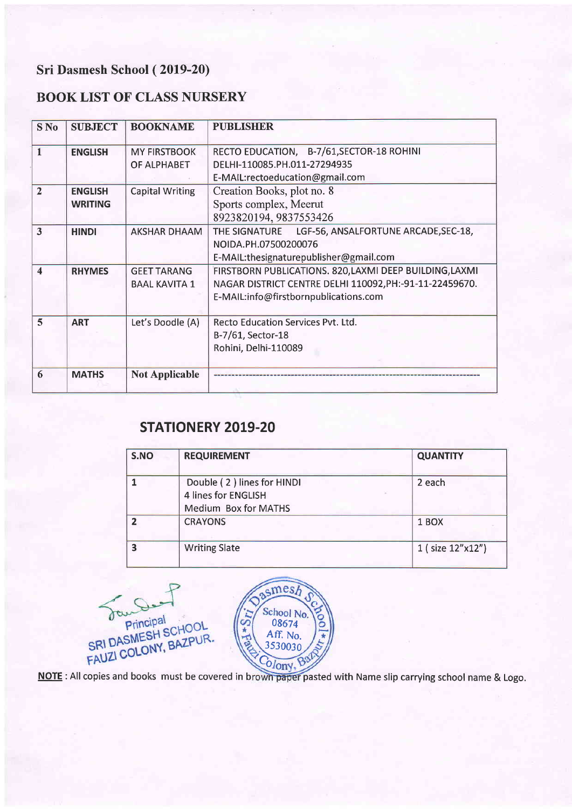# Sri Dasmesh School (2019-20)

## BOOK LIST OF CLASS NURSERY

| S <sub>No</sub> | <b>SUBJECT</b>                   | <b>BOOKNAME</b>                            | <b>PUBLISHER</b>                                                                                                                                            |
|-----------------|----------------------------------|--------------------------------------------|-------------------------------------------------------------------------------------------------------------------------------------------------------------|
| 1               | <b>ENGLISH</b>                   | <b>MY FIRSTBOOK</b><br>OF ALPHABET         | RECTO EDUCATION, B-7/61, SECTOR-18 ROHINI<br>DELHI-110085.PH.011-27294935<br>E-MAIL:rectoeducation@gmail.com                                                |
| $\overline{2}$  | <b>ENGLISH</b><br><b>WRITING</b> | <b>Capital Writing</b>                     | Creation Books, plot no. 8<br>Sports complex, Meerut<br>8923820194, 9837553426                                                                              |
| 3               | <b>HINDI</b>                     | <b>AKSHAR DHAAM</b>                        | THE SIGNATURE LGF-56, ANSALFORTUNE ARCADE, SEC-18,<br>NOIDA.PH.07500200076<br>E-MAIL:thesignaturepublisher@gmail.com                                        |
| 4               | <b>RHYMES</b>                    | <b>GEET TARANG</b><br><b>BAAL KAVITA 1</b> | FIRSTBORN PUBLICATIONS. 820, LAXMI DEEP BUILDING, LAXMI<br>NAGAR DISTRICT CENTRE DELHI 110092, PH:-91-11-22459670.<br>E-MAIL:info@firstbornpublications.com |
| $\overline{5}$  | <b>ART</b>                       | Let's Doodle (A)                           | Recto Education Services Pvt. Ltd.<br>B-7/61, Sector-18<br>Rohini, Delhi-110089                                                                             |
| 6               | <b>MATHS</b>                     | <b>Not Applicable</b>                      |                                                                                                                                                             |

# STATIONERY 2019.20

| S.NO | <b>REQUIREMENT</b>                                                        | <b>QUANTITY</b>  |
|------|---------------------------------------------------------------------------|------------------|
|      | Double (2) lines for HINDI<br>4 lines for ENGLISH<br>Medium Box for MATHS | 2 each           |
|      | <b>CRAYONS</b>                                                            | 1 BOX            |
| 0    | <b>Writing Slate</b>                                                      | 1 (size 12"x12") |

mes. FAUZI COLONY, BAZPUR. School No.<br>08674 Aff. No. 3530030 **CO** 

NOTE : All copies and books must be covered in brown paper pasted with Name slip carrying school name & Logo.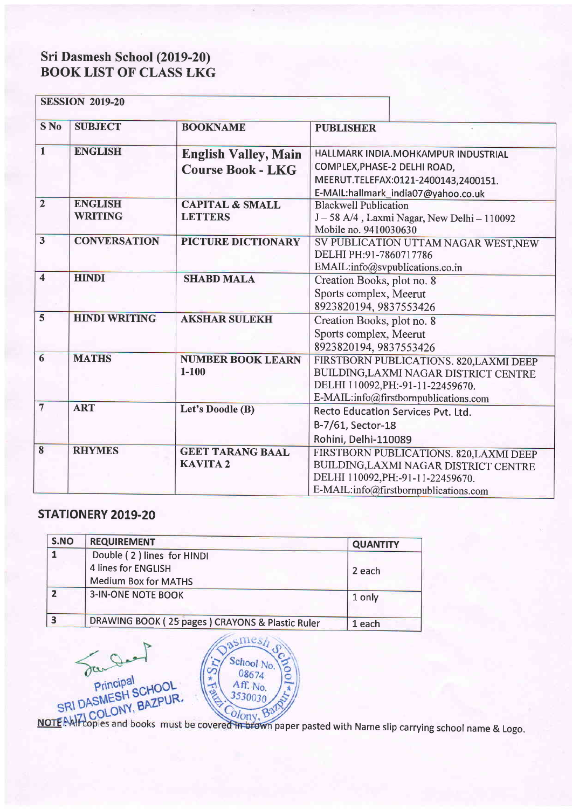#### Sri Dasmesh BOOK LIST School (2019-20) OF CLASS LKG

|                         | <b>SESSION 2019-20</b>           |                                                         |                                                                                                                                                                |  |
|-------------------------|----------------------------------|---------------------------------------------------------|----------------------------------------------------------------------------------------------------------------------------------------------------------------|--|
| S <sub>No</sub>         | <b>SUBJECT</b>                   | <b>BOOKNAME</b>                                         | <b>PUBLISHER</b>                                                                                                                                               |  |
| $\mathbf{1}$            | <b>ENGLISH</b>                   | <b>English Valley, Main</b><br><b>Course Book - LKG</b> | HALLMARK INDIA.MOHKAMPUR INDUSTRIAL<br>COMPLEX, PHASE-2 DELHI ROAD,<br>MEERUT.TELEFAX:0121-2400143,2400151.<br>E-MAIL:hallmark india07@yahoo.co.uk             |  |
| $\overline{2}$          | <b>ENGLISH</b><br><b>WRITING</b> | <b>CAPITAL &amp; SMALL</b><br><b>LETTERS</b>            | <b>Blackwell Publication</b><br>J-58 A/4, Laxmi Nagar, New Delhi-110092<br>Mobile no. 9410030630                                                               |  |
| $\overline{\mathbf{3}}$ | <b>CONVERSATION</b>              | PICTURE DICTIONARY                                      | SV PUBLICATION UTTAM NAGAR WEST, NEW<br>DELHI PH:91-7860717786<br>EMAIL:info@svpublications.co.in                                                              |  |
| $\overline{4}$          | <b>HINDI</b>                     | <b>SHABD MALA</b>                                       | Creation Books, plot no. 8<br>Sports complex, Meerut<br>8923820194, 9837553426                                                                                 |  |
| 5                       | <b>HINDI WRITING</b>             | <b>AKSHAR SULEKH</b>                                    | Creation Books, plot no. 8<br>Sports complex, Meerut<br>8923820194, 9837553426                                                                                 |  |
| $6\overline{6}$         | <b>MATHS</b>                     | <b>NUMBER BOOK LEARN</b><br>$1 - 100$                   | FIRSTBORN PUBLICATIONS. 820, LAXMI DEEP<br>BUILDING, LAXMI NAGAR DISTRICT CENTRE<br>DELHI 110092, PH:-91-11-22459670.<br>E-MAIL:info@firstbornpublications.com |  |
| $\overline{7}$          | <b>ART</b>                       | Let's Doodle (B)                                        | Recto Education Services Pvt. Ltd.<br>B-7/61, Sector-18<br>Rohini, Delhi-110089                                                                                |  |
| $\overline{\mathbf{8}}$ | <b>RHYMES</b>                    | <b>GEET TARANG BAAL</b><br><b>KAVITA2</b>               | FIRSTBORN PUBLICATIONS. 820, LAXMI DEEP<br>BUILDING, LAXMI NAGAR DISTRICT CENTRE<br>DELHI 110092, PH:-91-11-22459670.<br>E-MAIL:info@firstbornpublications.com |  |

### STATIONERY 2019-20

| S.NO | <b>REQUIREMENT</b>                              | <b>QUANTITY</b> |
|------|-------------------------------------------------|-----------------|
|      | Double (2) lines for HINDI                      |                 |
|      | 4 lines for ENGLISH                             | 2 each          |
|      | <b>Medium Box for MATHS</b>                     |                 |
|      | <b>3-IN-ONE NOTE BOOK</b>                       | 1 only          |
| ર    | DRAWING BOOK (25 pages) CRAYONS & Plastic Ruler | 1 each          |

 $\text{smes}_h$ San Deal School No.<br> $08674$ <br>Aff. No. SRI DASMESH SCHOOL SRI DASMESH SCHOR. (1994) 3530030<br>NOTEANT COLONY, BAZPUR. COLONY, BAZPUR.<br>NOTEANT Copies and books must be covered in brown paper pasted with Name slip carrying school name & Logo. 3530030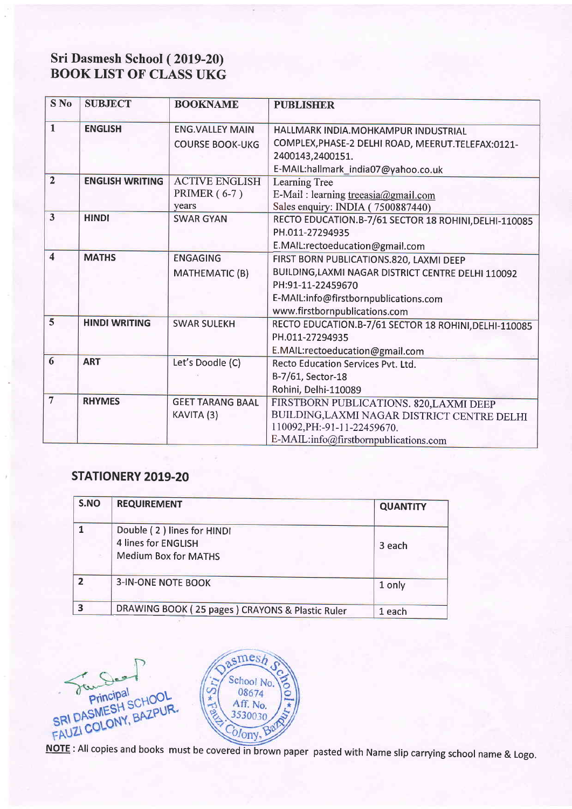## Sri Dasmesh School (2019-20) BOOK LIST OF CLASS UKG

| $S$ No                  | <b>SUBJECT</b>         | <b>BOOKNAME</b>         | <b>PUBLISHER</b>                                      |
|-------------------------|------------------------|-------------------------|-------------------------------------------------------|
|                         |                        |                         |                                                       |
| $\mathbf{I}$            | <b>ENGLISH</b>         | <b>ENG.VALLEY MAIN</b>  | HALLMARK INDIA.MOHKAMPUR INDUSTRIAL                   |
|                         |                        | <b>COURSE BOOK-UKG</b>  | COMPLEX, PHASE-2 DELHI ROAD, MEERUT. TELEFAX:0121-    |
|                         |                        |                         | 2400143,2400151.                                      |
|                         |                        |                         | E-MAIL:hallmark_india07@yahoo.co.uk                   |
| $\overline{2}$          | <b>ENGLISH WRITING</b> | <b>ACTIVE ENGLISH</b>   | Learning Tree                                         |
|                         |                        | <b>PRIMER</b> (6-7)     | E-Mail : learning treeasia@gmail.com                  |
|                         |                        | years                   | Sales enquiry: INDIA (7500887440)                     |
| $\overline{\mathbf{3}}$ | <b>HINDI</b>           | <b>SWAR GYAN</b>        | RECTO EDUCATION.B-7/61 SECTOR 18 ROHINI, DELHI-110085 |
|                         |                        |                         | PH.011-27294935                                       |
|                         |                        |                         | E.MAIL:rectoeducation@gmail.com                       |
| $\overline{\mathbf{4}}$ | <b>MATHS</b>           | <b>ENGAGING</b>         | FIRST BORN PUBLICATIONS.820, LAXMI DEEP               |
|                         |                        | <b>MATHEMATIC (B)</b>   | BUILDING, LAXMI NAGAR DISTRICT CENTRE DELHI 110092    |
|                         |                        |                         | PH:91-11-22459670                                     |
|                         |                        |                         | E-MAIL:info@firstbornpublications.com                 |
|                         |                        |                         | www.firstbornpublications.com                         |
| $\overline{5}$          | <b>HINDI WRITING</b>   | <b>SWAR SULEKH</b>      | RECTO EDUCATION.B-7/61 SECTOR 18 ROHINI, DELHI-110085 |
|                         |                        |                         | PH.011-27294935                                       |
|                         |                        |                         | E.MAIL:rectoeducation@gmail.com                       |
| 6                       | <b>ART</b>             | Let's Doodle (C)        | Recto Education Services Pvt. Ltd.                    |
|                         |                        |                         | B-7/61, Sector-18                                     |
|                         |                        |                         | Rohini, Delhi-110089                                  |
| $\overline{7}$          | <b>RHYMES</b>          | <b>GEET TARANG BAAL</b> | FIRSTBORN PUBLICATIONS. 820, LAXMI DEEP               |
|                         |                        | KAVITA (3)              | BUILDING, LAXMI NAGAR DISTRICT CENTRE DELHI           |
|                         |                        |                         | 110092, PH: - 91 - 11 - 22459670.                     |
|                         |                        |                         | E-MAIL:info@firstbornpublications.com                 |

### STATIONERY 2019.20

| S.NO | <b>REQUIREMENT</b>                                                               | <b>QUANTITY</b> |
|------|----------------------------------------------------------------------------------|-----------------|
|      | Double (2) lines for HINDI<br>4 lines for ENGLISH<br><b>Medium Box for MATHS</b> | 3 each          |
|      | <b>3-IN-ONE NOTE BOOK</b>                                                        | 1 only          |
| ર    | DRAWING BOOK (25 pages) CRAYONS & Plastic Ruler                                  | 1 each          |

 $smesh$ Star Des-School No. 08674 Aff. No. 3530030 Colony.

NOTE : All copies and books must be covered in brown paper pasted with Name slip carrying school name & Logo.